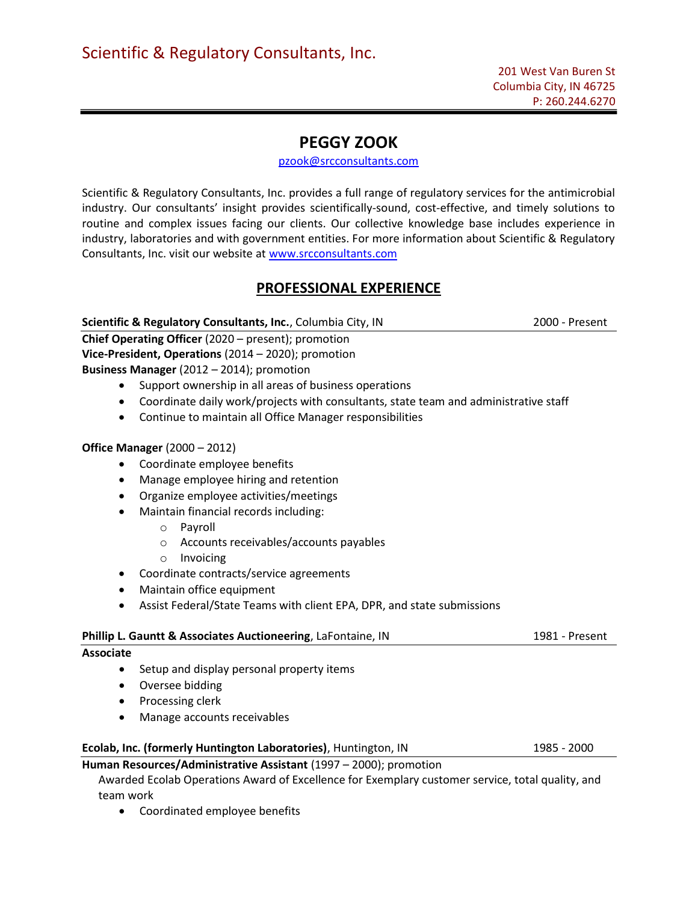# PEGGY ZOOK

## pzook@srcconsultants.com

Scientific & Regulatory Consultants, Inc. provides a full range of regulatory services for the antimicrobial industry. Our consultants' insight provides scientifically-sound, cost-effective, and timely solutions to routine and complex issues facing our clients. Our collective knowledge base includes experience in industry, laboratories and with government entities. For more information about Scientific & Regulatory Consultants, Inc. visit our website at www.srcconsultants.com

## PROFESSIONAL EXPERIENCE

## Scientific & Regulatory Consultants, Inc., Columbia City, IN 2000 - Present

Chief Operating Officer (2020 – present); promotion Vice-President, Operations (2014 – 2020); promotion Business Manager (2012 – 2014); promotion

- Support ownership in all areas of business operations
- Coordinate daily work/projects with consultants, state team and administrative staff
- Continue to maintain all Office Manager responsibilities

### Office Manager (2000 – 2012)

- Coordinate employee benefits
- Manage employee hiring and retention
- Organize employee activities/meetings
- Maintain financial records including:
	- o Payroll
	- o Accounts receivables/accounts payables
	- o Invoicing
- Coordinate contracts/service agreements
- Maintain office equipment
- Assist Federal/State Teams with client EPA, DPR, and state submissions

| <b>Phillip L. Gauntt &amp; Associates Auctioneering, LaFontaine, IN</b> | 1981 - Present |
|-------------------------------------------------------------------------|----------------|
| <b>Associate</b>                                                        |                |
| Setup and display personal property items<br>$\bullet$                  |                |
| Oversee bidding<br>$\bullet$                                            |                |
| Processing clerk<br>$\bullet$                                           |                |
| Manage accounts receivables<br>$\bullet$                                |                |
| Ecolab, Inc. (formerly Huntington Laboratories), Huntington, IN         | 1985 - 2000    |
| Human Resources/Administrative Assistant (1997 - 2000); promotion       |                |

 Awarded Ecolab Operations Award of Excellence for Exemplary customer service, total quality, and team work

Coordinated employee benefits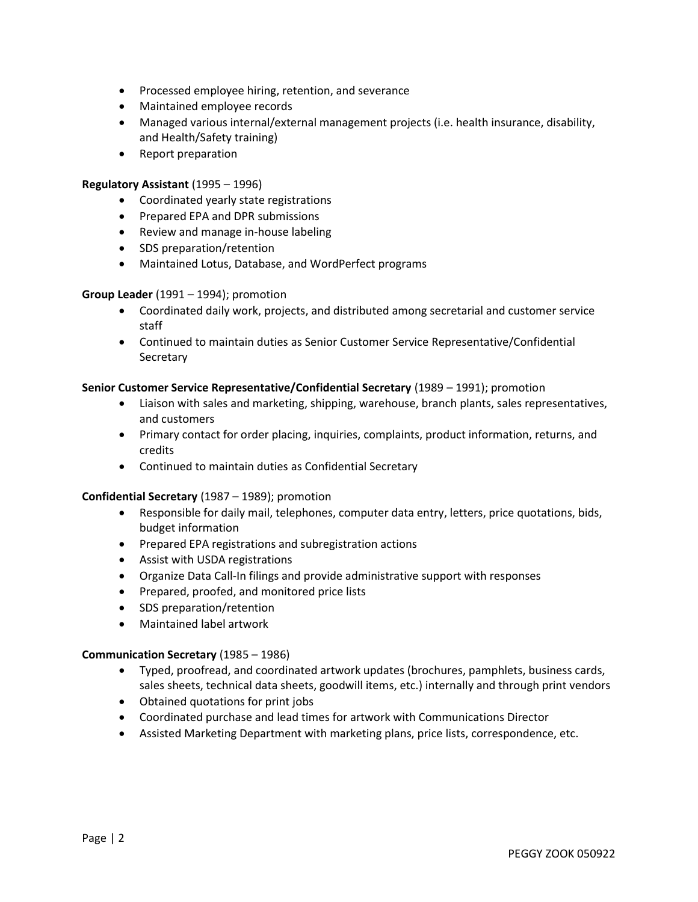- Processed employee hiring, retention, and severance
- Maintained employee records
- Managed various internal/external management projects (i.e. health insurance, disability, and Health/Safety training)
- Report preparation

#### Regulatory Assistant (1995 – 1996)

- Coordinated yearly state registrations
- Prepared EPA and DPR submissions
- Review and manage in-house labeling
- SDS preparation/retention
- Maintained Lotus, Database, and WordPerfect programs

#### Group Leader (1991 – 1994); promotion

- Coordinated daily work, projects, and distributed among secretarial and customer service staff
- Continued to maintain duties as Senior Customer Service Representative/Confidential Secretary

#### Senior Customer Service Representative/Confidential Secretary (1989 – 1991); promotion

- Liaison with sales and marketing, shipping, warehouse, branch plants, sales representatives, and customers
- Primary contact for order placing, inquiries, complaints, product information, returns, and credits
- Continued to maintain duties as Confidential Secretary

#### Confidential Secretary (1987 – 1989); promotion

- Responsible for daily mail, telephones, computer data entry, letters, price quotations, bids, budget information
- Prepared EPA registrations and subregistration actions
- Assist with USDA registrations
- Organize Data Call-In filings and provide administrative support with responses
- Prepared, proofed, and monitored price lists
- SDS preparation/retention
- Maintained label artwork

#### Communication Secretary (1985 – 1986)

- Typed, proofread, and coordinated artwork updates (brochures, pamphlets, business cards, sales sheets, technical data sheets, goodwill items, etc.) internally and through print vendors
- Obtained quotations for print jobs
- Coordinated purchase and lead times for artwork with Communications Director
- Assisted Marketing Department with marketing plans, price lists, correspondence, etc.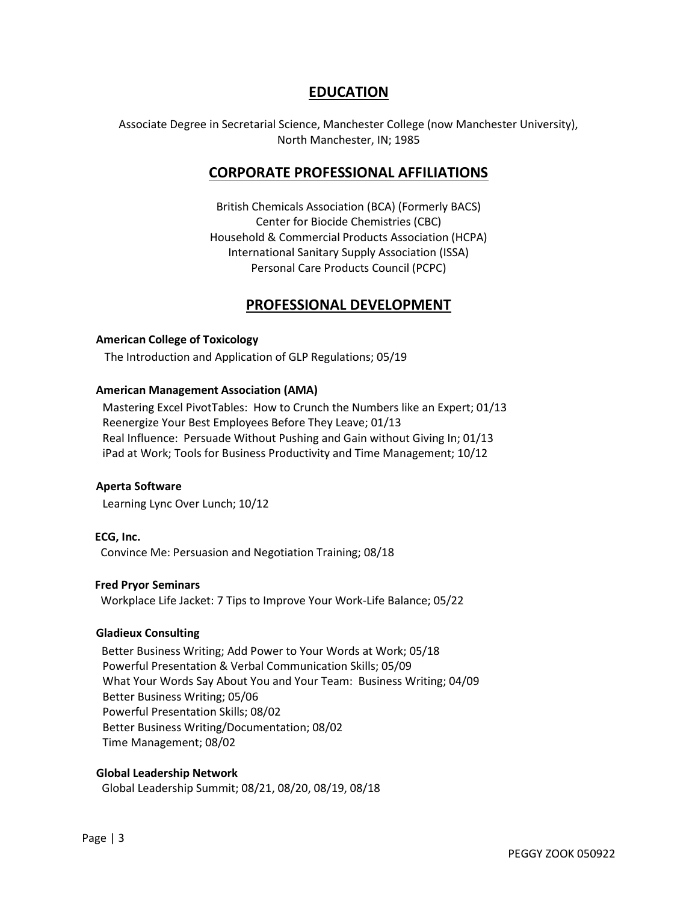## EDUCATION

Associate Degree in Secretarial Science, Manchester College (now Manchester University), North Manchester, IN; 1985

## CORPORATE PROFESSIONAL AFFILIATIONS

British Chemicals Association (BCA) (Formerly BACS) Center for Biocide Chemistries (CBC) Household & Commercial Products Association (HCPA) International Sanitary Supply Association (ISSA) Personal Care Products Council (PCPC)

## PROFESSIONAL DEVELOPMENT

#### American College of Toxicology

The Introduction and Application of GLP Regulations; 05/19

#### American Management Association (AMA)

Mastering Excel PivotTables: How to Crunch the Numbers like an Expert; 01/13 Reenergize Your Best Employees Before They Leave; 01/13 Real Influence: Persuade Without Pushing and Gain without Giving In; 01/13 iPad at Work; Tools for Business Productivity and Time Management; 10/12

### Aperta Software

Learning Lync Over Lunch; 10/12

 ECG, Inc. Convince Me: Persuasion and Negotiation Training; 08/18

#### Fred Pryor Seminars

Workplace Life Jacket: 7 Tips to Improve Your Work-Life Balance; 05/22

#### Gladieux Consulting

 Better Business Writing; Add Power to Your Words at Work; 05/18 Powerful Presentation & Verbal Communication Skills; 05/09 What Your Words Say About You and Your Team: Business Writing; 04/09 Better Business Writing; 05/06 Powerful Presentation Skills; 08/02 Better Business Writing/Documentation; 08/02 Time Management; 08/02

#### Global Leadership Network

Global Leadership Summit; 08/21, 08/20, 08/19, 08/18